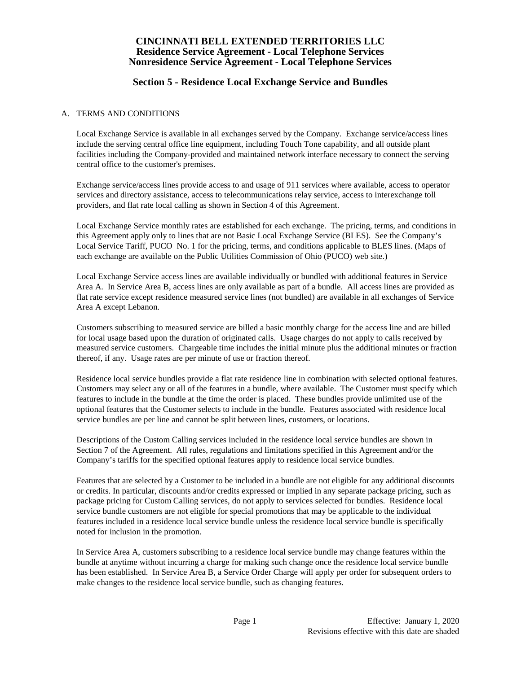## **Section 5 - Residence Local Exchange Service and Bundles**

### A. TERMS AND CONDITIONS

Local Exchange Service is available in all exchanges served by the Company. Exchange service/access lines include the serving central office line equipment, including Touch Tone capability, and all outside plant facilities including the Company-provided and maintained network interface necessary to connect the serving central office to the customer's premises.

Exchange service/access lines provide access to and usage of 911 services where available, access to operator services and directory assistance, access to telecommunications relay service, access to interexchange toll providers, and flat rate local calling as shown in Section 4 of this Agreement.

Local Exchange Service monthly rates are established for each exchange. The pricing, terms, and conditions in this Agreement apply only to lines that are not Basic Local Exchange Service (BLES). See the Company's Local Service Tariff, PUCO No. 1 for the pricing, terms, and conditions applicable to BLES lines. (Maps of each exchange are available on the Public Utilities Commission of Ohio (PUCO) web site.)

Local Exchange Service access lines are available individually or bundled with additional features in Service Area A. In Service Area B, access lines are only available as part of a bundle. All access lines are provided as flat rate service except residence measured service lines (not bundled) are available in all exchanges of Service Area A except Lebanon.

Customers subscribing to measured service are billed a basic monthly charge for the access line and are billed for local usage based upon the duration of originated calls. Usage charges do not apply to calls received by measured service customers. Chargeable time includes the initial minute plus the additional minutes or fraction thereof, if any. Usage rates are per minute of use or fraction thereof.

Residence local service bundles provide a flat rate residence line in combination with selected optional features. Customers may select any or all of the features in a bundle, where available. The Customer must specify which features to include in the bundle at the time the order is placed. These bundles provide unlimited use of the optional features that the Customer selects to include in the bundle. Features associated with residence local service bundles are per line and cannot be split between lines, customers, or locations.

Descriptions of the Custom Calling services included in the residence local service bundles are shown in Section 7 of the Agreement. All rules, regulations and limitations specified in this Agreement and/or the Company's tariffs for the specified optional features apply to residence local service bundles.

Features that are selected by a Customer to be included in a bundle are not eligible for any additional discounts or credits. In particular, discounts and/or credits expressed or implied in any separate package pricing, such as package pricing for Custom Calling services, do not apply to services selected for bundles. Residence local service bundle customers are not eligible for special promotions that may be applicable to the individual features included in a residence local service bundle unless the residence local service bundle is specifically noted for inclusion in the promotion.

In Service Area A, customers subscribing to a residence local service bundle may change features within the bundle at anytime without incurring a charge for making such change once the residence local service bundle has been established. In Service Area B, a Service Order Charge will apply per order for subsequent orders to make changes to the residence local service bundle, such as changing features.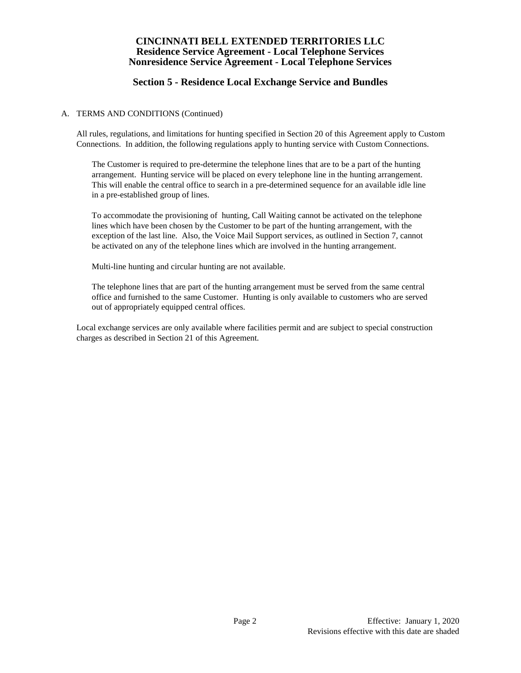# **Section 5 - Residence Local Exchange Service and Bundles**

#### A. TERMS AND CONDITIONS (Continued)

All rules, regulations, and limitations for hunting specified in Section 20 of this Agreement apply to Custom Connections. In addition, the following regulations apply to hunting service with Custom Connections.

The Customer is required to pre-determine the telephone lines that are to be a part of the hunting arrangement. Hunting service will be placed on every telephone line in the hunting arrangement. This will enable the central office to search in a pre-determined sequence for an available idle line in a pre-established group of lines.

To accommodate the provisioning of hunting, Call Waiting cannot be activated on the telephone lines which have been chosen by the Customer to be part of the hunting arrangement, with the exception of the last line. Also, the Voice Mail Support services, as outlined in Section 7, cannot be activated on any of the telephone lines which are involved in the hunting arrangement.

Multi-line hunting and circular hunting are not available.

The telephone lines that are part of the hunting arrangement must be served from the same central office and furnished to the same Customer. Hunting is only available to customers who are served out of appropriately equipped central offices.

Local exchange services are only available where facilities permit and are subject to special construction charges as described in Section 21 of this Agreement.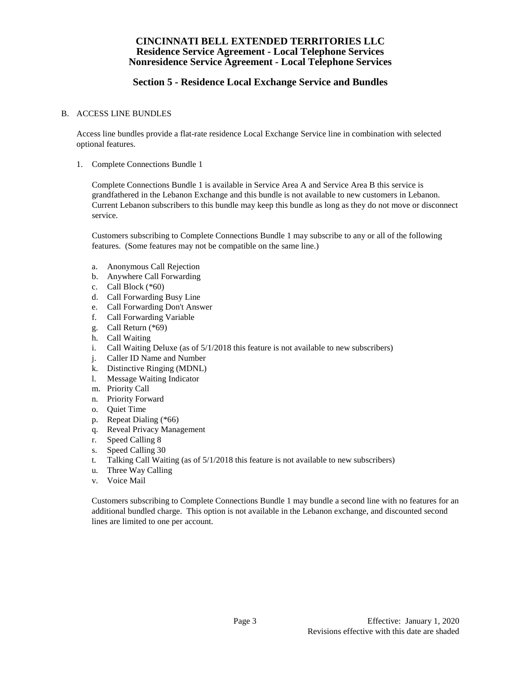# **Section 5 - Residence Local Exchange Service and Bundles**

### B. ACCESS LINE BUNDLES

Access line bundles provide a flat-rate residence Local Exchange Service line in combination with selected optional features.

1. Complete Connections Bundle 1

Complete Connections Bundle 1 is available in Service Area A and Service Area B this service is grandfathered in the Lebanon Exchange and this bundle is not available to new customers in Lebanon. Current Lebanon subscribers to this bundle may keep this bundle as long as they do not move or disconnect service.

Customers subscribing to Complete Connections Bundle 1 may subscribe to any or all of the following features. (Some features may not be compatible on the same line.)

- a. Anonymous Call Rejection
- b. Anywhere Call Forwarding
- c. Call Block (\*60)
- d. Call Forwarding Busy Line
- e. Call Forwarding Don't Answer
- f. Call Forwarding Variable
- g. Call Return (\*69)
- h. Call Waiting
- i. Call Waiting Deluxe (as of 5/1/2018 this feature is not available to new subscribers)
- j. Caller ID Name and Number
- k. Distinctive Ringing (MDNL)
- l. Message Waiting Indicator
- m. Priority Call
- n. Priority Forward
- o. Quiet Time
- p. Repeat Dialing (\*66)
- q. Reveal Privacy Management
- r. Speed Calling 8
- s. Speed Calling 30
- t. Talking Call Waiting (as of 5/1/2018 this feature is not available to new subscribers)
- u. Three Way Calling
- v. Voice Mail

Customers subscribing to Complete Connections Bundle 1 may bundle a second line with no features for an additional bundled charge. This option is not available in the Lebanon exchange, and discounted second lines are limited to one per account.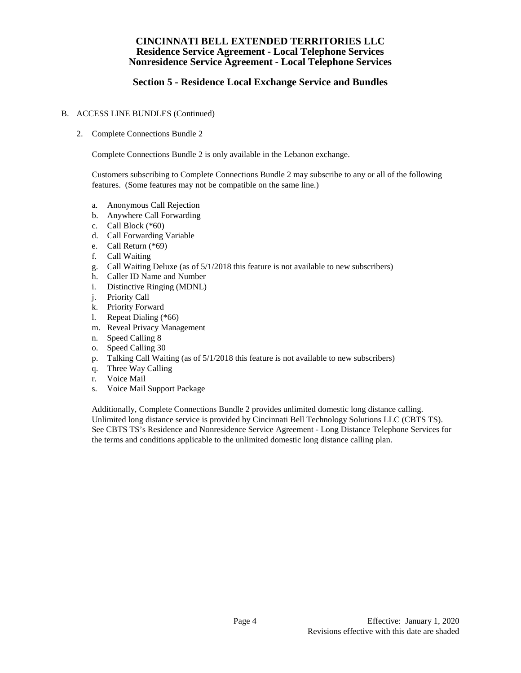# **Section 5 - Residence Local Exchange Service and Bundles**

### B. ACCESS LINE BUNDLES (Continued)

2. Complete Connections Bundle 2

Complete Connections Bundle 2 is only available in the Lebanon exchange.

Customers subscribing to Complete Connections Bundle 2 may subscribe to any or all of the following features. (Some features may not be compatible on the same line.)

- a. Anonymous Call Rejection
- b. Anywhere Call Forwarding
- c. Call Block (\*60)
- d. Call Forwarding Variable
- e. Call Return (\*69)
- f. Call Waiting
- g. Call Waiting Deluxe (as of 5/1/2018 this feature is not available to new subscribers)
- h. Caller ID Name and Number
- i. Distinctive Ringing (MDNL)
- j. Priority Call
- k. Priority Forward
- l. Repeat Dialing (\*66)
- m. Reveal Privacy Management
- n. Speed Calling 8
- o. Speed Calling 30
- p. Talking Call Waiting (as of 5/1/2018 this feature is not available to new subscribers)
- q. Three Way Calling
- r. Voice Mail
- s. Voice Mail Support Package

Additionally, Complete Connections Bundle 2 provides unlimited domestic long distance calling. Unlimited long distance service is provided by Cincinnati Bell Technology Solutions LLC (CBTS TS). See CBTS TS's Residence and Nonresidence Service Agreement - Long Distance Telephone Services for the terms and conditions applicable to the unlimited domestic long distance calling plan.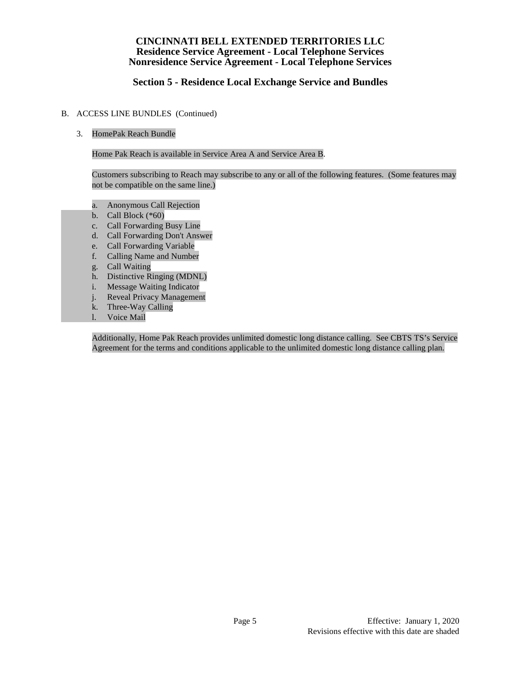# **Section 5 - Residence Local Exchange Service and Bundles**

### B. ACCESS LINE BUNDLES (Continued)

## 3. HomePak Reach Bundle

Home Pak Reach is available in Service Area A and Service Area B.

Customers subscribing to Reach may subscribe to any or all of the following features. (Some features may not be compatible on the same line.)

- a. Anonymous Call Rejection
- b. Call Block  $(*60)$
- c. Call Forwarding Busy Line
- d. Call Forwarding Don't Answer
- e. Call Forwarding Variable
- f. Calling Name and Number
- g. Call Waiting
- h. Distinctive Ringing (MDNL)
- i. Message Waiting Indicator
- j. Reveal Privacy Management
- k. Three-Way Calling
- l. Voice Mail

Additionally, Home Pak Reach provides unlimited domestic long distance calling. See CBTS TS's Service Agreement for the terms and conditions applicable to the unlimited domestic long distance calling plan.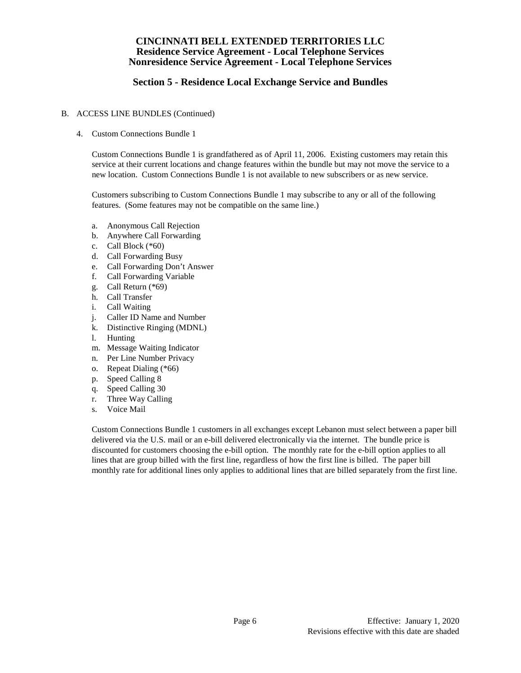# **Section 5 - Residence Local Exchange Service and Bundles**

### B. ACCESS LINE BUNDLES (Continued)

4. Custom Connections Bundle 1

Custom Connections Bundle 1 is grandfathered as of April 11, 2006. Existing customers may retain this service at their current locations and change features within the bundle but may not move the service to a new location. Custom Connections Bundle 1 is not available to new subscribers or as new service.

Customers subscribing to Custom Connections Bundle 1 may subscribe to any or all of the following features. (Some features may not be compatible on the same line.)

- a. Anonymous Call Rejection
- b. Anywhere Call Forwarding
- c. Call Block (\*60)
- d. Call Forwarding Busy
- e. Call Forwarding Don't Answer
- f. Call Forwarding Variable
- g. Call Return (\*69)
- h. Call Transfer
- i. Call Waiting
- j. Caller ID Name and Number
- k. Distinctive Ringing (MDNL)
- l. Hunting
- m. Message Waiting Indicator
- n. Per Line Number Privacy
- o. Repeat Dialing (\*66)
- p. Speed Calling 8
- 
- q. Speed Calling 30<br>r. Three Wav Callin Three Way Calling
- s. Voice Mail

Custom Connections Bundle 1 customers in all exchanges except Lebanon must select between a paper bill delivered via the U.S. mail or an e-bill delivered electronically via the internet. The bundle price is discounted for customers choosing the e-bill option. The monthly rate for the e-bill option applies to all lines that are group billed with the first line, regardless of how the first line is billed. The paper bill monthly rate for additional lines only applies to additional lines that are billed separately from the first line.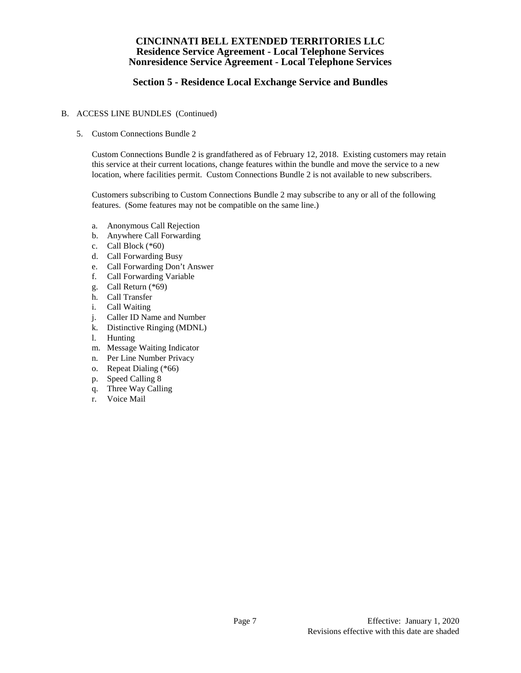# **Section 5 - Residence Local Exchange Service and Bundles**

### B. ACCESS LINE BUNDLES (Continued)

5. Custom Connections Bundle 2

Custom Connections Bundle 2 is grandfathered as of February 12, 2018. Existing customers may retain this service at their current locations, change features within the bundle and move the service to a new location, where facilities permit. Custom Connections Bundle 2 is not available to new subscribers.

Customers subscribing to Custom Connections Bundle 2 may subscribe to any or all of the following features. (Some features may not be compatible on the same line.)

- a. Anonymous Call Rejection
- b. Anywhere Call Forwarding
- c. Call Block (\*60)
- d. Call Forwarding Busy
- e. Call Forwarding Don't Answer
- f. Call Forwarding Variable
- g. Call Return (\*69)
- h. Call Transfer
- i. Call Waiting
- j. Caller ID Name and Number
- k. Distinctive Ringing (MDNL)
- l. Hunting
- m. Message Waiting Indicator
- n. Per Line Number Privacy
- o. Repeat Dialing (\*66)
- p. Speed Calling 8
- q. Three Way Calling
- r. Voice Mail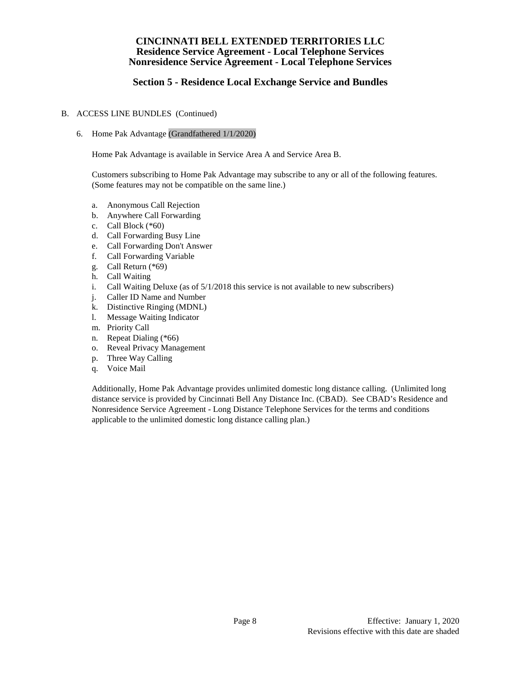# **Section 5 - Residence Local Exchange Service and Bundles**

### B. ACCESS LINE BUNDLES (Continued)

6. Home Pak Advantage (Grandfathered 1/1/2020)

Home Pak Advantage is available in Service Area A and Service Area B.

Customers subscribing to Home Pak Advantage may subscribe to any or all of the following features. (Some features may not be compatible on the same line.)

- a. Anonymous Call Rejection
- b. Anywhere Call Forwarding
- c. Call Block (\*60)
- d. Call Forwarding Busy Line
- e. Call Forwarding Don't Answer
- f. Call Forwarding Variable
- g. Call Return (\*69)
- h. Call Waiting
- i. Call Waiting Deluxe (as of  $5/1/2018$  this service is not available to new subscribers)
- j. Caller ID Name and Number
- k. Distinctive Ringing (MDNL)
- l. Message Waiting Indicator
- m. Priority Call
- n. Repeat Dialing (\*66)
- o. Reveal Privacy Management
- p. Three Way Calling
- q. Voice Mail

Additionally, Home Pak Advantage provides unlimited domestic long distance calling. (Unlimited long distance service is provided by Cincinnati Bell Any Distance Inc. (CBAD). See CBAD's Residence and Nonresidence Service Agreement - Long Distance Telephone Services for the terms and conditions applicable to the unlimited domestic long distance calling plan.)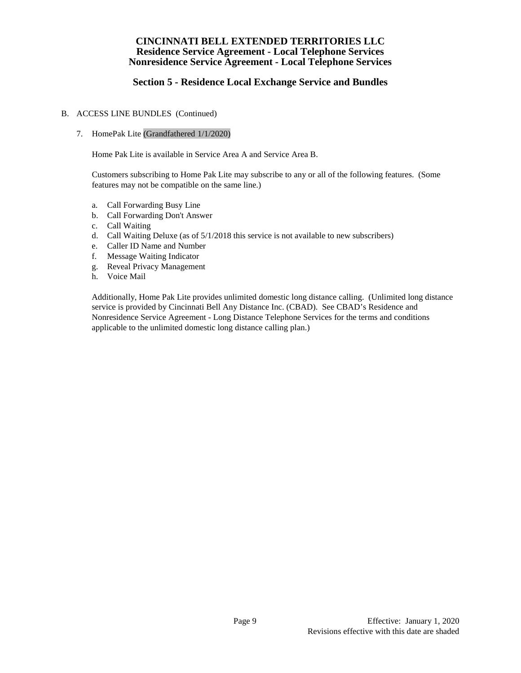# **Section 5 - Residence Local Exchange Service and Bundles**

### B. ACCESS LINE BUNDLES (Continued)

### 7. HomePak Lite (Grandfathered 1/1/2020)

Home Pak Lite is available in Service Area A and Service Area B.

Customers subscribing to Home Pak Lite may subscribe to any or all of the following features. (Some features may not be compatible on the same line.)

- a. Call Forwarding Busy Line
- b. Call Forwarding Don't Answer
- c. Call Waiting
- d. Call Waiting Deluxe (as of 5/1/2018 this service is not available to new subscribers)
- e. Caller ID Name and Number
- f. Message Waiting Indicator
- g. Reveal Privacy Management
- h. Voice Mail

Additionally, Home Pak Lite provides unlimited domestic long distance calling. (Unlimited long distance service is provided by Cincinnati Bell Any Distance Inc. (CBAD). See CBAD's Residence and Nonresidence Service Agreement - Long Distance Telephone Services for the terms and conditions applicable to the unlimited domestic long distance calling plan.)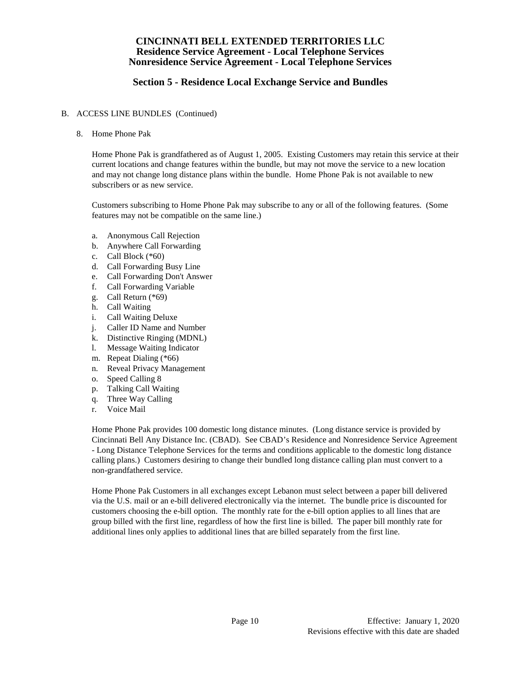# **Section 5 - Residence Local Exchange Service and Bundles**

### B. ACCESS LINE BUNDLES (Continued)

8. Home Phone Pak

Home Phone Pak is grandfathered as of August 1, 2005. Existing Customers may retain this service at their current locations and change features within the bundle, but may not move the service to a new location and may not change long distance plans within the bundle. Home Phone Pak is not available to new subscribers or as new service.

Customers subscribing to Home Phone Pak may subscribe to any or all of the following features. (Some features may not be compatible on the same line.)

- a. Anonymous Call Rejection
- b. Anywhere Call Forwarding
- c. Call Block (\*60)
- d. Call Forwarding Busy Line
- e. Call Forwarding Don't Answer
- f. Call Forwarding Variable
- g. Call Return (\*69)
- h. Call Waiting
- i. Call Waiting Deluxe
- j. Caller ID Name and Number
- k. Distinctive Ringing (MDNL)
- l. Message Waiting Indicator
- m. Repeat Dialing (\*66)
- n. Reveal Privacy Management
- o. Speed Calling 8
- p. Talking Call Waiting
- q. Three Way Calling
- r. Voice Mail

Home Phone Pak provides 100 domestic long distance minutes. (Long distance service is provided by Cincinnati Bell Any Distance Inc. (CBAD). See CBAD's Residence and Nonresidence Service Agreement - Long Distance Telephone Services for the terms and conditions applicable to the domestic long distance calling plans.) Customers desiring to change their bundled long distance calling plan must convert to a non-grandfathered service.

Home Phone Pak Customers in all exchanges except Lebanon must select between a paper bill delivered via the U.S. mail or an e-bill delivered electronically via the internet. The bundle price is discounted for customers choosing the e-bill option. The monthly rate for the e-bill option applies to all lines that are group billed with the first line, regardless of how the first line is billed. The paper bill monthly rate for additional lines only applies to additional lines that are billed separately from the first line.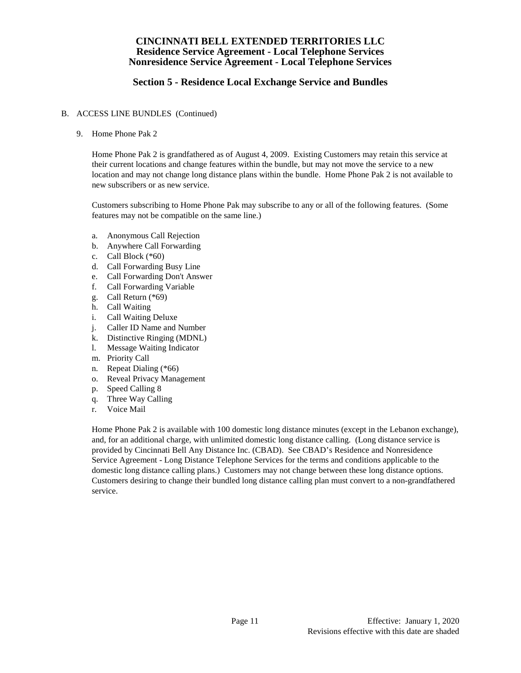# **Section 5 - Residence Local Exchange Service and Bundles**

### B. ACCESS LINE BUNDLES (Continued)

9. Home Phone Pak 2

Home Phone Pak 2 is grandfathered as of August 4, 2009. Existing Customers may retain this service at their current locations and change features within the bundle, but may not move the service to a new location and may not change long distance plans within the bundle. Home Phone Pak 2 is not available to new subscribers or as new service.

Customers subscribing to Home Phone Pak may subscribe to any or all of the following features. (Some features may not be compatible on the same line.)

- a. Anonymous Call Rejection
- b. Anywhere Call Forwarding
- c. Call Block (\*60)
- d. Call Forwarding Busy Line
- e. Call Forwarding Don't Answer
- f. Call Forwarding Variable
- g. Call Return (\*69)
- h. Call Waiting
- i. Call Waiting Deluxe
- j. Caller ID Name and Number
- k. Distinctive Ringing (MDNL)
- l. Message Waiting Indicator
- m. Priority Call
- n. Repeat Dialing (\*66)
- o. Reveal Privacy Management
- p. Speed Calling 8
- q. Three Way Calling
- r. Voice Mail

Home Phone Pak 2 is available with 100 domestic long distance minutes (except in the Lebanon exchange), and, for an additional charge, with unlimited domestic long distance calling. (Long distance service is provided by Cincinnati Bell Any Distance Inc. (CBAD). See CBAD's Residence and Nonresidence Service Agreement - Long Distance Telephone Services for the terms and conditions applicable to the domestic long distance calling plans.) Customers may not change between these long distance options. Customers desiring to change their bundled long distance calling plan must convert to a non-grandfathered service.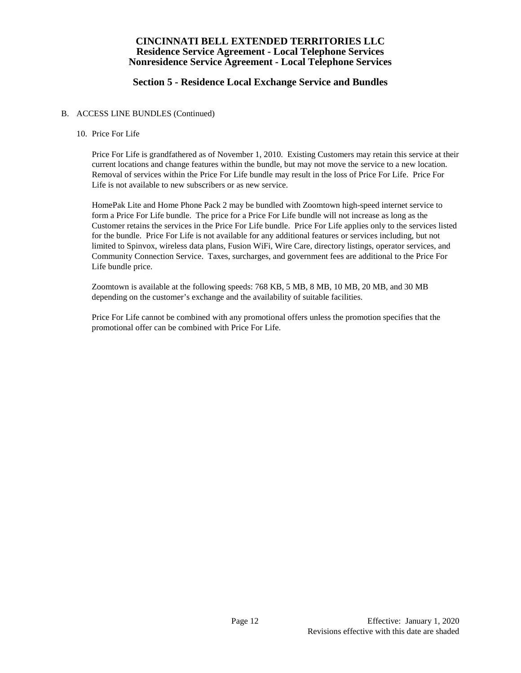# **Section 5 - Residence Local Exchange Service and Bundles**

#### B. ACCESS LINE BUNDLES (Continued)

#### 10. Price For Life

Price For Life is grandfathered as of November 1, 2010. Existing Customers may retain this service at their current locations and change features within the bundle, but may not move the service to a new location. Removal of services within the Price For Life bundle may result in the loss of Price For Life. Price For Life is not available to new subscribers or as new service.

HomePak Lite and Home Phone Pack 2 may be bundled with Zoomtown high-speed internet service to form a Price For Life bundle. The price for a Price For Life bundle will not increase as long as the Customer retains the services in the Price For Life bundle. Price For Life applies only to the services listed for the bundle. Price For Life is not available for any additional features or services including, but not limited to Spinvox, wireless data plans, Fusion WiFi, Wire Care, directory listings, operator services, and Community Connection Service. Taxes, surcharges, and government fees are additional to the Price For Life bundle price.

Zoomtown is available at the following speeds: 768 KB, 5 MB, 8 MB, 10 MB, 20 MB, and 30 MB depending on the customer's exchange and the availability of suitable facilities.

Price For Life cannot be combined with any promotional offers unless the promotion specifies that the promotional offer can be combined with Price For Life.